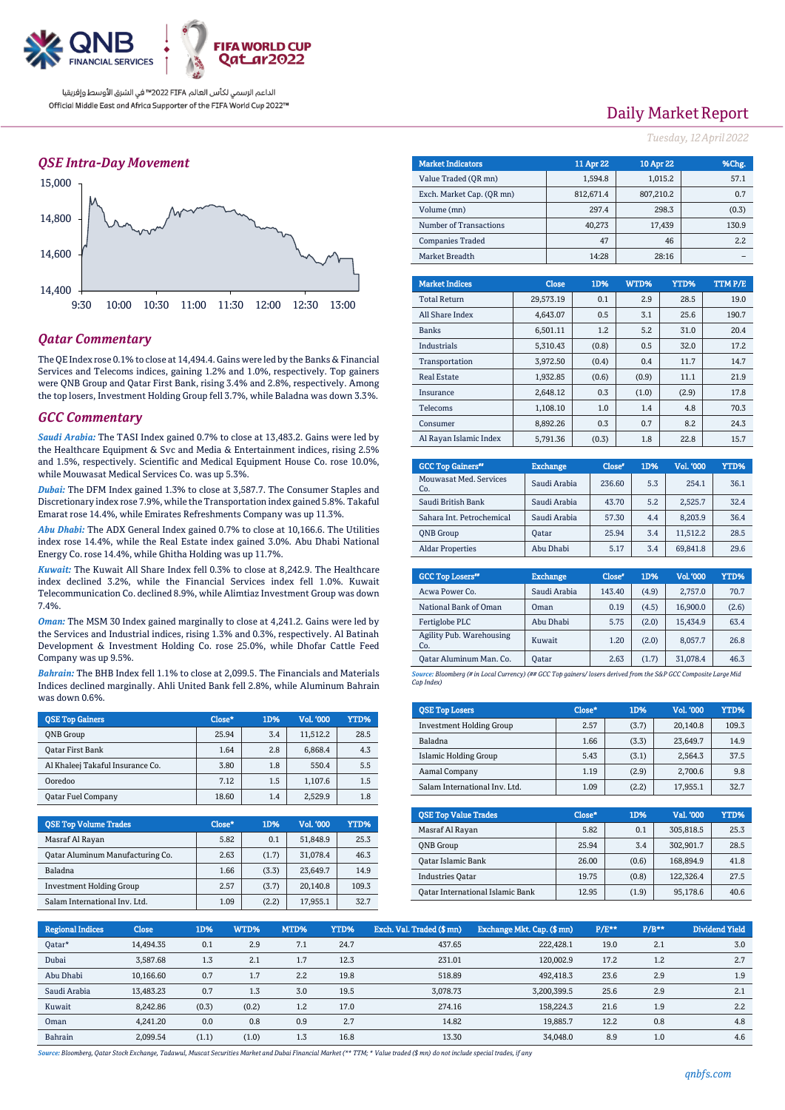

### *QSE Intra-Day Movement*



### *Qatar Commentary*

The QE Index rose 0.1% to close at 14,494.4. Gains were led by the Banks & Financial Services and Telecoms indices, gaining 1.2% and 1.0%, respectively. Top gainers were QNB Group and Qatar First Bank, rising 3.4% and 2.8%, respectively. Among the top losers, Investment Holding Group fell 3.7%, while Baladna was down 3.3%.

#### *GCC Commentary*

*Saudi Arabia:* The TASI Index gained 0.7% to close at 13,483.2. Gains were led by the Healthcare Equipment & Svc and Media & Entertainment indices, rising 2.5% and 1.5%, respectively. Scientific and Medical Equipment House Co. rose 10.0%, while Mouwasat Medical Services Co. was up 5.3%.

*Dubai:* The DFM Index gained 1.3% to close at 3,587.7. The Consumer Staples and Discretionary index rose 7.9%, while the Transportation index gained 5.8%. Takaful Emarat rose 14.4%, while Emirates Refreshments Company was up 11.3%.

*Abu Dhabi:* The ADX General Index gained 0.7% to close at 10,166.6. The Utilities index rose 14.4%, while the Real Estate index gained 3.0%. Abu Dhabi National Energy Co. rose 14.4%, while Ghitha Holding was up 11.7%.

*Kuwait:* The Kuwait All Share Index fell 0.3% to close at 8,242.9. The Healthcare index declined 3.2%, while the Financial Services index fell 1.0%. Kuwait Telecommunication Co. declined 8.9%, while Alimtiaz Investment Group was down 7.4%.

*Oman:* The MSM 30 Index gained marginally to close at 4,241.2. Gains were led by the Services and Industrial indices, rising 1.3% and 0.3%, respectively. Al Batinah Development & Investment Holding Co. rose 25.0%, while Dhofar Cattle Feed Company was up 9.5%.

*Bahrain:* The BHB Index fell 1.1% to close at 2,099.5. The Financials and Materials Indices declined marginally. Ahli United Bank fell 2.8%, while Aluminum Bahrain was down 0.6%.

| <b>OSE Top Gainers</b>           | Close* | 1D% | Vol. '000 | <b>YTD%</b> |
|----------------------------------|--------|-----|-----------|-------------|
| <b>ONB</b> Group                 | 25.94  | 3.4 | 11,512.2  | 28.5        |
| <b>Qatar First Bank</b>          | 1.64   | 2.8 | 6.868.4   | 4.3         |
| Al Khaleej Takaful Insurance Co. | 3.80   | 1.8 | 550.4     | 5.5         |
| Ooredoo                          | 7.12   | 1.5 | 1.107.6   | 1.5         |
| <b>Qatar Fuel Company</b>        | 18.60  | 1.4 | 2.529.9   | 1.8         |

| <b>QSE Top Volume Trades</b>     | Close* | 1D%   | Vol. '000 | YTD%  |
|----------------------------------|--------|-------|-----------|-------|
| Masraf Al Rayan                  | 5.82   | 0.1   | 51,848.9  | 25.3  |
| Oatar Aluminum Manufacturing Co. | 2.63   | (1.7) | 31,078.4  | 46.3  |
| Baladna                          | 1.66   | (3.3) | 23,649.7  | 14.9  |
| <b>Investment Holding Group</b>  | 2.57   | (3.7) | 20.140.8  | 109.3 |
| Salam International Inv. Ltd.    | 1.09   | (2.2) | 17,955.1  | 32.7  |

# Daily Market Report

*Tuesday, 12April2022*

| <b>Market Indicators</b>  |           | 11 Apr 22 | 10 Apr 22 |         |       | %Chg.         |
|---------------------------|-----------|-----------|-----------|---------|-------|---------------|
| Value Traded (OR mn)      |           | 1,594.8   |           | 1,015.2 |       | 57.1          |
| Exch. Market Cap. (OR mn) |           | 812.671.4 | 807.210.2 |         |       | 0.7           |
| Volume (mn)               |           | 297.4     |           | 298.3   |       | (0.3)         |
| Number of Transactions    |           | 40.273    |           | 17,439  | 130.9 |               |
| <b>Companies Traded</b>   |           | 47        |           | 46      |       | 2.2           |
| Market Breadth            |           | 14:28     |           | 28:16   |       |               |
|                           |           |           |           |         |       |               |
| <b>Market Indices</b>     | Close     | 1D%       | WTD%      |         | YTD%  | <b>TTMP/E</b> |
| <b>Total Return</b>       | 29.573.19 | 0.1       | 2.9       |         | 28.5  | 19.0          |

| <b>Total Return</b>    | 29.573.19 | 0.1   | 2.9   | 28.5  | 19.0  |
|------------------------|-----------|-------|-------|-------|-------|
| All Share Index        | 4.643.07  | 0.5   | 3.1   | 25.6  | 190.7 |
| <b>Banks</b>           | 6.501.11  | 1.2   | 5.2   | 31.0  | 20.4  |
| Industrials            | 5.310.43  | (0.8) | 0.5   | 32.0  | 17.2  |
| Transportation         | 3.972.50  | (0.4) | 0.4   | 11.7  | 14.7  |
| <b>Real Estate</b>     | 1.932.85  | (0.6) | (0.9) | 11.1  | 21.9  |
| Insurance              | 2.648.12  | 0.3   | (1.0) | (2.9) | 17.8  |
| Telecoms               | 1.108.10  | 1.0   | 1.4   | 4.8   | 70.3  |
| Consumer               | 8.892.26  | 0.3   | 0.7   | 8.2   | 24.3  |
| Al Ravan Islamic Index | 5.791.36  | (0.3) | 1.8   | 22.8  | 15.7  |

| <b>GCC Top Gainers</b> "      | <b>Exchange</b> | Close* | 1D% | Vol. '000 | YTD% |
|-------------------------------|-----------------|--------|-----|-----------|------|
| Mouwasat Med. Services<br>Co. | Saudi Arabia    | 236.60 | 5.3 | 254.1     | 36.1 |
| Saudi British Bank            | Saudi Arabia    | 43.70  | 5.2 | 2.525.7   | 32.4 |
| Sahara Int. Petrochemical     | Saudi Arabia    | 57.30  | 4.4 | 8.203.9   | 36.4 |
| <b>ONB</b> Group              | Oatar           | 25.94  | 3.4 | 11.512.2  | 28.5 |
| <b>Aldar Properties</b>       | Abu Dhabi       | 5.17   | 3.4 | 69.841.8  | 29.6 |

| <b>GCC Top Losers</b> <sup>88</sup> | <b>Exchange</b> | Close <sup>®</sup> | 1D%   | Vol. '000 | YTD%  |
|-------------------------------------|-----------------|--------------------|-------|-----------|-------|
| Acwa Power Co.                      | Saudi Arabia    | 143.40             | (4.9) | 2.757.0   | 70.7  |
| National Bank of Oman               | Oman            | 0.19               | (4.5) | 16.900.0  | (2.6) |
| Fertiglobe PLC                      | Abu Dhabi       | 5.75               | (2.0) | 15.434.9  | 63.4  |
| Agility Pub. Warehousing<br>Co.     | Kuwait          | 1.20               | (2.0) | 8,057.7   | 26.8  |
| Qatar Aluminum Man. Co.             | Oatar           | 2.63               | (1.7) | 31.078.4  | 46.3  |
|                                     |                 |                    |       |           |       |

*Source: Bloomberg (# in Local Currency) (## GCC Top gainers/ losers derived from the S&P GCC Composite Large Mid Cap Index)*

| <b>QSE Top Losers</b>           | Close* | 1D%   | Vol. '000 | YTD%  |
|---------------------------------|--------|-------|-----------|-------|
| <b>Investment Holding Group</b> | 2.57   | (3.7) | 20.140.8  | 109.3 |
| Baladna                         | 1.66   | (3.3) | 23.649.7  | 14.9  |
| Islamic Holding Group           | 5.43   | (3.1) | 2.564.3   | 37.5  |
| Aamal Company                   | 1.19   | (2.9) | 2.700.6   | 9.8   |
| Salam International Inv. Ltd.   | 1.09   | (2.2) | 17.955.1  | 32.7  |

| <b>OSE Top Value Trades</b>      | Close* | 1D%   | Val. '000 | YTD% |
|----------------------------------|--------|-------|-----------|------|
| Masraf Al Rayan                  | 5.82   | 0.1   | 305,818.5 | 25.3 |
| <b>ONB</b> Group                 | 25.94  | 3.4   | 302,901.7 | 28.5 |
| Oatar Islamic Bank               | 26.00  | (0.6) | 168,894.9 | 41.8 |
| <b>Industries Oatar</b>          | 19.75  | (0.8) | 122.326.4 | 27.5 |
| Oatar International Islamic Bank | 12.95  | (1.9) | 95,178.6  | 40.6 |

| <b>Regional Indices</b> | <b>Close</b> | 1D%   | WTD%  | MTD% | YTD% | Exch. Val. Traded (\$mn) | Exchange Mkt. Cap. (\$ mn) | P/E** | $P/B**$ | <b>Dividend Yield</b> |
|-------------------------|--------------|-------|-------|------|------|--------------------------|----------------------------|-------|---------|-----------------------|
| Oatar*                  | 14.494.35    | 0.1   | 2.9   | 7.1  | 24.7 | 437.65                   | 222,428.1                  | 19.0  | 2.1     | 3.0                   |
| Dubai                   | 3.587.68     | 1.3   | 2.1   | 1.7  | 12.3 | 231.01                   | 120.002.9                  | 17.2  | 1.2     | 2.7                   |
| Abu Dhabi               | 10.166.60    | 0.7   | 1.7   | 2.2  | 19.8 | 518.89                   | 492,418.3                  | 23.6  | 2.9     | 1.9                   |
| Saudi Arabia            | 13.483.23    | 0.7   | 1.3   | 3.0  | 19.5 | 3,078.73                 | 3,200,399.5                | 25.6  | 2.9     | 2.1                   |
| Kuwait                  | 8.242.86     | (0.3) | (0.2) | 1.2  | 17.0 | 274.16                   | 158.224.3                  | 21.6  | 1.9     | 2.2                   |
| Oman                    | 4.241.20     | 0.0   | 0.8   | 0.9  | 2.7  | 14.82                    | 19,885.7                   | 12.2  | 0.8     | 4.8                   |
| Bahrain                 | 2.099.54     | (1.1) | (1.0) | 1.3  | 16.8 | 13.30                    | 34.048.0                   | 8.9   | 1.0     | 4.6                   |

*Source: Bloomberg, Qatar Stock Exchange, Tadawul, Muscat Securities Market and Dubai Financial Market (\*\* TTM; \* Value traded (\$ mn) do not include special trades, if any*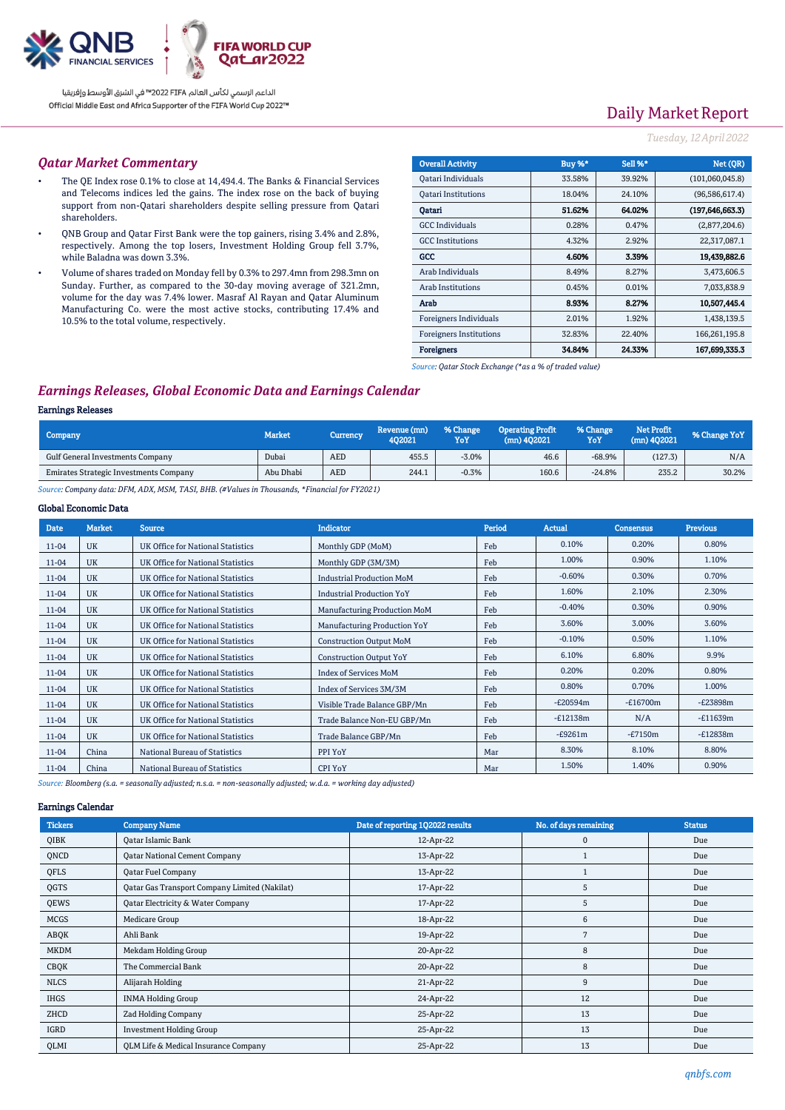

# Daily Market Report

#### *Tuesday, 12April2022*

#### *Qatar Market Commentary*

- The QE Index rose 0.1% to close at 14,494.4. The Banks & Financial Services and Telecoms indices led the gains. The index rose on the back of buying support from non-Qatari shareholders despite selling pressure from Qatari shareholders.
- QNB Group and Qatar First Bank were the top gainers, rising 3.4% and 2.8%, respectively. Among the top losers, Investment Holding Group fell 3.7%, while Baladna was down 3.3%.
- Volume of shares traded on Monday fell by 0.3% to 297.4mn from 298.3mn on Sunday. Further, as compared to the 30-day moving average of 321.2mn, volume for the day was 7.4% lower. Masraf Al Rayan and Qatar Aluminum Manufacturing Co. were the most active stocks, contributing 17.4% and 10.5% to the total volume, respectively.

| <b>Overall Activity</b>        | Buy %* | Sell %* | Net (QR)          |
|--------------------------------|--------|---------|-------------------|
| Qatari Individuals             | 33.58% | 39.92%  | (101,060,045.8)   |
| <b>Oatari Institutions</b>     | 18.04% | 24.10%  | (96,586,617.4)    |
| Oatari                         | 51.62% | 64.02%  | (197, 646, 663.3) |
| <b>GCC</b> Individuals         | 0.28%  | 0.47%   | (2,877,204.6)     |
| <b>GCC</b> Institutions        | 4.32%  | 2.92%   | 22,317,087.1      |
| GCC                            | 4.60%  | 3.39%   | 19,439,882.6      |
| Arab Individuals               | 8.49%  | 8.27%   | 3,473,606.5       |
| <b>Arab Institutions</b>       | 0.45%  | 0.01%   | 7,033,838.9       |
| Arab                           | 8.93%  | 8.27%   | 10,507,445.4      |
| Foreigners Individuals         | 2.01%  | 1.92%   | 1,438,139.5       |
| <b>Foreigners Institutions</b> | 32.83% | 22.40%  | 166,261,195.8     |
| <b>Foreigners</b>              | 34.84% | 24.33%  | 167,699,335.3     |

*Source: Qatar Stock Exchange (\*as a % of traded value)*

### *Earnings Releases, Global Economic Data and Earnings Calendar*

### Earnings Releases

| <b>Market</b> | Currency   | Revenue (mn)<br>402021 | % Change<br>YoY | <b>Operating Profit</b><br>$(mn)$ 402021 | % Change<br>YoY | Net Profit<br>$(mn)$ 402021 | % Change YoY |
|---------------|------------|------------------------|-----------------|------------------------------------------|-----------------|-----------------------------|--------------|
| Dubai         | AED        | 455.5                  | $-3.0%$         | 46.6                                     | $-68.9%$        | (127.3)                     | N/A          |
| Abu Dhabi     | <b>AED</b> | 244.1                  | $-0.3%$         | 160.6                                    | $-24.8%$        | 235.2                       | 30.2%        |
|               |            |                        |                 |                                          |                 |                             |              |

*Source: Company data: DFM, ADX, MSM, TASI, BHB. (#Values in Thousands, \*Financial for FY2021)*

#### Global Economic Data

| <b>Date</b> | <b>Market</b> | <b>Source</b>                     | <b>Indicator</b>                 | <b>Period</b> | <b>Actual</b> | <b>Consensus</b> | <b>Previous</b> |
|-------------|---------------|-----------------------------------|----------------------------------|---------------|---------------|------------------|-----------------|
| 11-04       | <b>UK</b>     | UK Office for National Statistics | Monthly GDP (MoM)                | Feb           | 0.10%         | 0.20%            | 0.80%           |
| 11-04       | <b>UK</b>     | UK Office for National Statistics | Monthly GDP (3M/3M)              | Feb           | 1.00%         | 0.90%            | 1.10%           |
| 11-04       | <b>UK</b>     | UK Office for National Statistics | <b>Industrial Production MoM</b> | Feb           | $-0.60%$      | 0.30%            | 0.70%           |
| 11-04       | <b>UK</b>     | UK Office for National Statistics | <b>Industrial Production YoY</b> | Feb           | 1.60%         | 2.10%            | 2.30%           |
| 11-04       | <b>UK</b>     | UK Office for National Statistics | Manufacturing Production MoM     | Feb           | $-0.40%$      | 0.30%            | 0.90%           |
| 11-04       | <b>UK</b>     | UK Office for National Statistics | Manufacturing Production YoY     | Feb           | 3.60%         | 3.00%            | 3.60%           |
| 11-04       | <b>UK</b>     | UK Office for National Statistics | <b>Construction Output MoM</b>   | Feb           | $-0.10%$      | 0.50%            | 1.10%           |
| 11-04       | <b>UK</b>     | UK Office for National Statistics | <b>Construction Output YoY</b>   | Feb           | 6.10%         | 6.80%            | 9.9%            |
| 11-04       | <b>UK</b>     | UK Office for National Statistics | <b>Index of Services MoM</b>     | Feb           | 0.20%         | 0.20%            | 0.80%           |
| 11-04       | <b>UK</b>     | UK Office for National Statistics | Index of Services 3M/3M          | Feb           | 0.80%         | 0.70%            | 1.00%           |
| 11-04       | <b>UK</b>     | UK Office for National Statistics | Visible Trade Balance GBP/Mn     | Feb           | $-E20594m$    | $-E16700m$       | $-E23898m$      |
| 11-04       | <b>UK</b>     | UK Office for National Statistics | Trade Balance Non-EU GBP/Mn      | Feb           | $-E12138m$    | N/A              | $-E11639m$      |
| 11-04       | <b>UK</b>     | UK Office for National Statistics | Trade Balance GBP/Mn             | Feb           | $-E9261m$     | $-E7150m$        | $-E12838m$      |
| 11-04       | China         | National Bureau of Statistics     | PPI YoY                          | Mar           | 8.30%         | 8.10%            | 8.80%           |
| 11-04       | China         | National Bureau of Statistics     | <b>CPI YoY</b>                   | Mar           | 1.50%         | 1.40%            | 0.90%           |

*Source: Bloomberg (s.a. = seasonally adjusted; n.s.a. = non-seasonally adjusted; w.d.a. = working day adjusted)*

#### Earnings Calendar

| <b>Tickers</b> | <b>Company Name</b>                           | Date of reporting 1Q2022 results | No. of days remaining | <b>Status</b> |
|----------------|-----------------------------------------------|----------------------------------|-----------------------|---------------|
| QIBK           | <b>Qatar Islamic Bank</b>                     | 12-Apr-22                        | 0                     | Due           |
| QNCD           | <b>Qatar National Cement Company</b>          | 13-Apr-22                        |                       | Due           |
| QFLS           | <b>Oatar Fuel Company</b>                     | 13-Apr-22                        |                       | Due           |
| QGTS           | Qatar Gas Transport Company Limited (Nakilat) | 17-Apr-22                        | 5                     | Due           |
| QEWS           | Qatar Electricity & Water Company             | 17-Apr-22                        | 5                     | Due           |
| <b>MCGS</b>    | Medicare Group                                | 18-Apr-22                        | 6                     | Due           |
| ABQK           | Ahli Bank                                     | 19-Apr-22                        | 7                     | Due           |
| <b>MKDM</b>    | Mekdam Holding Group                          | 20-Apr-22                        | 8                     | Due           |
| CBQK           | The Commercial Bank                           | 20-Apr-22                        | 8                     | Due           |
| <b>NLCS</b>    | Alijarah Holding                              | 21-Apr-22                        | 9                     | Due           |
| <b>IHGS</b>    | <b>INMA Holding Group</b>                     | 24-Apr-22                        | 12                    | Due           |
| ZHCD           | Zad Holding Company                           | 25-Apr-22                        | 13                    | Due           |
| IGRD           | <b>Investment Holding Group</b>               | 25-Apr-22                        | 13                    | Due           |
| QLMI           | QLM Life & Medical Insurance Company          | 25-Apr-22                        | 13                    | Due           |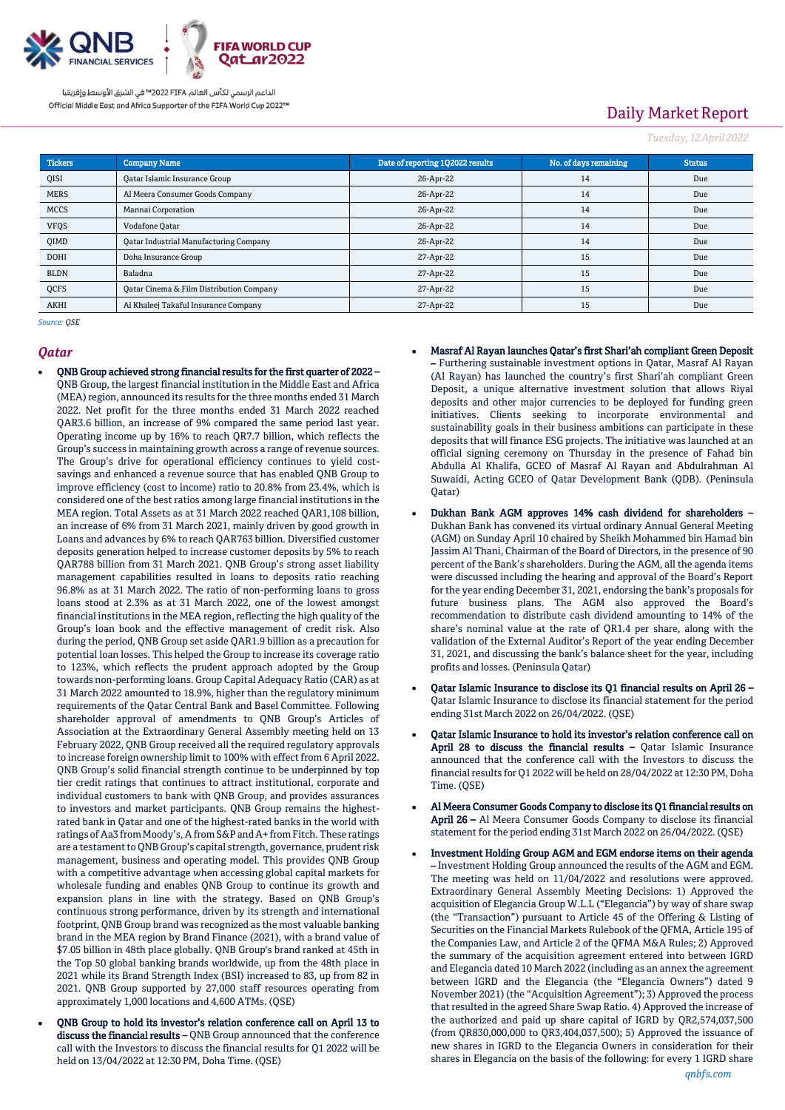

# Daily Market Report

*Tuesday, 12April2022*

| <b>Tickers</b> | <b>Company Name</b>                           | Date of reporting 1Q2022 results | No. of days remaining | <b>Status</b> |
|----------------|-----------------------------------------------|----------------------------------|-----------------------|---------------|
| QISI           | <b>Qatar Islamic Insurance Group</b>          | 26-Apr-22                        | 14                    | Due           |
| <b>MERS</b>    | Al Meera Consumer Goods Company               | 26-Apr-22                        | 14                    | Due           |
| <b>MCCS</b>    | Mannai Corporation                            | 26-Apr-22                        | 14                    | Due           |
| <b>VFQS</b>    | Vodafone Qatar                                | 26-Apr-22                        | 14                    | Due           |
| QIMD           | <b>Qatar Industrial Manufacturing Company</b> | 26-Apr-22                        | 14                    | Due           |
| <b>DOHI</b>    | Doha Insurance Group                          | 27-Apr-22                        | 15                    | Due           |
| <b>BLDN</b>    | Baladna                                       | 27-Apr-22                        | 15                    | Due           |
| QCFS           | Qatar Cinema & Film Distribution Company      | 27-Apr-22                        | 15                    | Due           |
| AKHI           | Al Khaleej Takaful Insurance Company          | 27-Apr-22                        | 15                    | Due           |

Qatar)

*Source: QSE*

#### *Qatar*

- QNB Group achieved strong financial results for the first quarter of 2022 QNB Group, the largest financial institution in the Middle East and Africa (MEA) region, announced its results for the three months ended 31 March 2022. Net profit for the three months ended 31 March 2022 reached QAR3.6 billion, an increase of 9% compared the same period last year. Operating income up by 16% to reach QR7.7 billion, which reflects the Group's success in maintaining growth across a range of revenue sources. The Group's drive for operational efficiency continues to yield costsavings and enhanced a revenue source that has enabled QNB Group to improve efficiency (cost to income) ratio to 20.8% from 23.4%, which is considered one of the best ratios among large financial institutions in the MEA region. Total Assets as at 31 March 2022 reached QAR1,108 billion, an increase of 6% from 31 March 2021, mainly driven by good growth in Loans and advances by 6% to reach QAR763 billion. Diversified customer deposits generation helped to increase customer deposits by 5% to reach QAR788 billion from 31 March 2021. QNB Group's strong asset liability management capabilities resulted in loans to deposits ratio reaching 96.8% as at 31 March 2022. The ratio of non-performing loans to gross loans stood at 2.3% as at 31 March 2022, one of the lowest amongst financial institutions in the MEA region, reflecting the high quality of the Group's loan book and the effective management of credit risk. Also during the period, QNB Group set aside QAR1.9 billion as a precaution for potential loan losses. This helped the Group to increase its coverage ratio to 123%, which reflects the prudent approach adopted by the Group towards non-performing loans. Group Capital Adequacy Ratio (CAR) as at 31 March 2022 amounted to 18.9%, higher than the regulatory minimum requirements of the Qatar Central Bank and Basel Committee. Following shareholder approval of amendments to QNB Group's Articles of Association at the Extraordinary General Assembly meeting held on 13 February 2022, QNB Group received all the required regulatory approvals to increase foreign ownership limit to 100% with effect from 6 April 2022. QNB Group's solid financial strength continue to be underpinned by top tier credit ratings that continues to attract institutional, corporate and individual customers to bank with QNB Group, and provides assurances to investors and market participants. QNB Group remains the highestrated bank in Qatar and one of the highest-rated banks in the world with ratings of Aa3 from Moody's, A from S&P and A+ from Fitch. These ratings are a testament to QNB Group's capital strength, governance, prudent risk management, business and operating model. This provides QNB Group with a competitive advantage when accessing global capital markets for wholesale funding and enables QNB Group to continue its growth and expansion plans in line with the strategy. Based on QNB Group's continuous strong performance, driven by its strength and international footprint, QNB Group brand was recognized as the most valuable banking brand in the MEA region by Brand Finance (2021), with a brand value of \$7.05 billion in 48th place globally. QNB Group's brand ranked at 45th in the Top 50 global banking brands worldwide, up from the 48th place in 2021 while its Brand Strength Index (BSI) increased to 83, up from 82 in 2021. QNB Group supported by 27,000 staff resources operating from approximately 1,000 locations and 4,600 ATMs. (QSE)
- QNB Group to hold its investor's relation conference call on April 13 to discuss the financial results - QNB Group announced that the conference call with the Investors to discuss the financial results for Q1 2022 will be held on 13/04/2022 at 12:30 PM, Doha Time. (QSE)

 Masraf Al Rayan launches Qatar's first Shari'ah compliant Green Deposit – Furthering sustainable investment options in Qatar, Masraf Al Rayan (Al Rayan) has launched the country's first Shari'ah compliant Green Deposit, a unique alternative investment solution that allows Riyal deposits and other major currencies to be deployed for funding green initiatives. Clients seeking to incorporate environmental and sustainability goals in their business ambitions can participate in these deposits that will finance ESG projects. The initiative was launched at an official signing ceremony on Thursday in the presence of Fahad bin

Abdulla Al Khalifa, GCEO of Masraf Al Rayan and Abdulrahman Al Suwaidi, Acting GCEO of Qatar Development Bank (QDB). (Peninsula

- Dukhan Bank AGM approves 14% cash dividend for shareholders Dukhan Bank has convened its virtual ordinary Annual General Meeting (AGM) on Sunday April 10 chaired by Sheikh Mohammed bin Hamad bin Jassim Al Thani, Chairman of the Board of Directors, in the presence of 90 percent of the Bank's shareholders. During the AGM, all the agenda items were discussed including the hearing and approval of the Board's Report for the year ending December 31, 2021, endorsing the bank's proposals for future business plans. The AGM also approved the Board's recommendation to distribute cash dividend amounting to 14% of the share's nominal value at the rate of QR1.4 per share, along with the validation of the External Auditor's Report of the year ending December 31, 2021, and discussing the bank's balance sheet for the year, including profits and losses. (Peninsula Qatar)
- Qatar Islamic Insurance to disclose its Q1 financial results on April 26 Qatar Islamic Insurance to disclose its financial statement for the period ending 31st March 2022 on 26/04/2022. (QSE)
- Qatar Islamic Insurance to hold its investor's relation conference call on April 28 to discuss the financial results - Qatar Islamic Insurance announced that the conference call with the Investors to discuss the financial results for Q1 2022 will be held on 28/04/2022 at 12:30 PM, Doha Time. (QSE)
- Al Meera Consumer Goods Company to disclose its Q1 financial results on April 26 – Al Meera Consumer Goods Company to disclose its financial statement for the period ending 31st March 2022 on 26/04/2022. (QSE)
- Investment Holding Group AGM and EGM endorse items on their agenda – Investment Holding Group announced the results of the AGM and EGM. The meeting was held on 11/04/2022 and resolutions were approved. Extraordinary General Assembly Meeting Decisions: 1) Approved the acquisition of Elegancia Group W.L.L ("Elegancia") by way of share swap (the "Transaction") pursuant to Article 45 of the Offering & Listing of Securities on the Financial Markets Rulebook of the QFMA, Article 195 of the Companies Law, and Article 2 of the QFMA M&A Rules; 2) Approved the summary of the acquisition agreement entered into between IGRD and Elegancia dated 10 March 2022 (including as an annex the agreement between IGRD and the Elegancia (the "Elegancia Owners") dated 9 November 2021) (the "Acquisition Agreement"); 3) Approved the process that resulted in the agreed Share Swap Ratio. 4) Approved the increase of the authorized and paid up share capital of IGRD by QR2,574,037,500 (from QR830,000,000 to QR3,404,037,500); 5) Approved the issuance of new shares in IGRD to the Elegancia Owners in consideration for their shares in Elegancia on the basis of the following: for every 1 IGRD share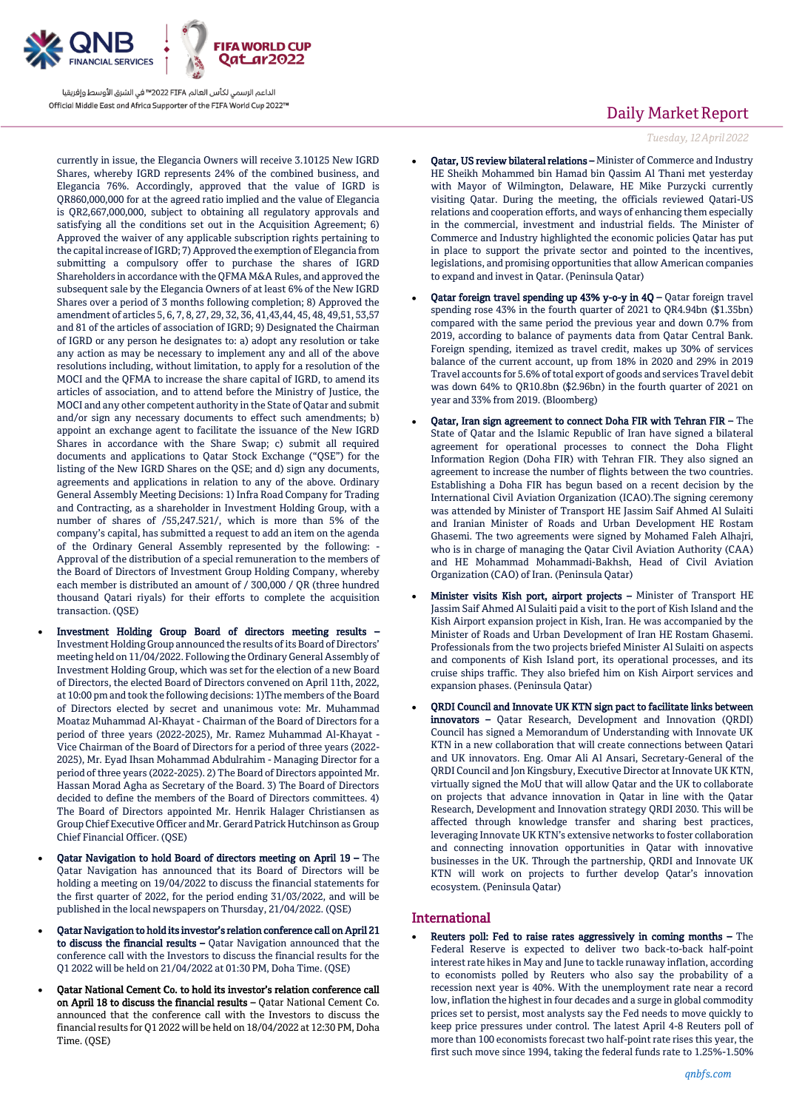

currently in issue, the Elegancia Owners will receive 3.10125 New IGRD Shares, whereby IGRD represents 24% of the combined business, and Elegancia 76%. Accordingly, approved that the value of IGRD is QR860,000,000 for at the agreed ratio implied and the value of Elegancia is QR2,667,000,000, subject to obtaining all regulatory approvals and satisfying all the conditions set out in the Acquisition Agreement; 6) Approved the waiver of any applicable subscription rights pertaining to the capital increase of IGRD; 7) Approved the exemption of Elegancia from submitting a compulsory offer to purchase the shares of IGRD Shareholders in accordance with the QFMA M&A Rules, and approved the subsequent sale by the Elegancia Owners of at least 6% of the New IGRD Shares over a period of 3 months following completion; 8) Approved the amendment of articles 5, 6, 7, 8, 27, 29, 32, 36, 41,43,44, 45, 48, 49,51, 53,57 and 81 of the articles of association of IGRD; 9) Designated the Chairman of IGRD or any person he designates to: a) adopt any resolution or take any action as may be necessary to implement any and all of the above resolutions including, without limitation, to apply for a resolution of the MOCI and the QFMA to increase the share capital of IGRD, to amend its articles of association, and to attend before the Ministry of Justice, the MOCI and any other competent authority in the State of Qatar and submit and/or sign any necessary documents to effect such amendments; b) appoint an exchange agent to facilitate the issuance of the New IGRD Shares in accordance with the Share Swap; c) submit all required documents and applications to Qatar Stock Exchange ("QSE") for the listing of the New IGRD Shares on the QSE; and d) sign any documents, agreements and applications in relation to any of the above. Ordinary General Assembly Meeting Decisions: 1) Infra Road Company for Trading and Contracting, as a shareholder in Investment Holding Group, with a number of shares of /55,247.521/, which is more than 5% of the company's capital, has submitted a request to add an item on the agenda of the Ordinary General Assembly represented by the following: - Approval of the distribution of a special remuneration to the members of the Board of Directors of Investment Group Holding Company, whereby each member is distributed an amount of / 300,000 / QR (three hundred thousand Qatari riyals) for their efforts to complete the acquisition transaction. (QSE)

- Investment Holding Group Board of directors meeting results Investment Holding Group announced the results of its Board of Directors' meeting held on 11/04/2022. Following the Ordinary General Assembly of Investment Holding Group, which was set for the election of a new Board of Directors, the elected Board of Directors convened on April 11th, 2022, at 10:00 pm and took the following decisions: 1)The members of the Board of Directors elected by secret and unanimous vote: Mr. Muhammad Moataz Muhammad Al-Khayat - Chairman of the Board of Directors for a period of three years (2022-2025), Mr. Ramez Muhammad Al-Khayat - Vice Chairman of the Board of Directors for a period of three years (2022- 2025), Mr. Eyad Ihsan Mohammad Abdulrahim - Managing Director for a period of three years (2022-2025). 2) The Board of Directors appointed Mr. Hassan Morad Agha as Secretary of the Board. 3) The Board of Directors decided to define the members of the Board of Directors committees. 4) The Board of Directors appointed Mr. Henrik Halager Christiansen as Group Chief Executive Officer and Mr. Gerard Patrick Hutchinson as Group Chief Financial Officer. (QSE)
- Qatar Navigation to hold Board of directors meeting on April 19 The Qatar Navigation has announced that its Board of Directors will be holding a meeting on 19/04/2022 to discuss the financial statements for the first quarter of 2022, for the period ending 31/03/2022, and will be published in the local newspapers on Thursday, 21/04/2022. (QSE)
- Qatar Navigation to hold its investor's relation conference call on April 21 to discuss the financial results - Qatar Navigation announced that the conference call with the Investors to discuss the financial results for the Q1 2022 will be held on 21/04/2022 at 01:30 PM, Doha Time. (QSE)
- Qatar National Cement Co. to hold its investor's relation conference call on April 18 to discuss the financial results – Qatar National Cement Co. announced that the conference call with the Investors to discuss the financial results for Q1 2022 will be held on 18/04/2022 at 12:30 PM, Doha Time. (QSE)

# Daily Market Report

*Tuesday, 12April2022*

- Qatar, US review bilateral relations Minister of Commerce and Industry HE Sheikh Mohammed bin Hamad bin Qassim Al Thani met yesterday with Mayor of Wilmington, Delaware, HE Mike Purzycki currently visiting Qatar. During the meeting, the officials reviewed Qatari-US relations and cooperation efforts, and ways of enhancing them especially in the commercial, investment and industrial fields. The Minister of Commerce and Industry highlighted the economic policies Qatar has put in place to support the private sector and pointed to the incentives, legislations, and promising opportunities that allow American companies to expand and invest in Qatar. (Peninsula Qatar)
- Qatar foreign travel spending up 43% y-o-y in 4Q Qatar foreign travel spending rose 43% in the fourth quarter of 2021 to QR4.94bn (\$1.35bn) compared with the same period the previous year and down 0.7% from 2019, according to balance of payments data from Qatar Central Bank. Foreign spending, itemized as travel credit, makes up 30% of services balance of the current account, up from 18% in 2020 and 29% in 2019 Travel accounts for 5.6% of total export of goods and services Travel debit was down 64% to QR10.8bn (\$2.96bn) in the fourth quarter of 2021 on year and 33% from 2019. (Bloomberg)
- Qatar, Iran sign agreement to connect Doha FIR with Tehran FIR The State of Qatar and the Islamic Republic of Iran have signed a bilateral agreement for operational processes to connect the Doha Flight Information Region (Doha FIR) with Tehran FIR. They also signed an agreement to increase the number of flights between the two countries. Establishing a Doha FIR has begun based on a recent decision by the International Civil Aviation Organization (ICAO).The signing ceremony was attended by Minister of Transport HE Jassim Saif Ahmed Al Sulaiti and Iranian Minister of Roads and Urban Development HE Rostam Ghasemi. The two agreements were signed by Mohamed Faleh Alhajri, who is in charge of managing the Qatar Civil Aviation Authority (CAA) and HE Mohammad Mohammadi-Bakhsh, Head of Civil Aviation Organization (CAO) of Iran. (Peninsula Qatar)
- Minister visits Kish port, airport projects Minister of Transport HE Jassim Saif Ahmed Al Sulaiti paid a visit to the port of Kish Island and the Kish Airport expansion project in Kish, Iran. He was accompanied by the Minister of Roads and Urban Development of Iran HE Rostam Ghasemi. Professionals from the two projects briefed Minister Al Sulaiti on aspects and components of Kish Island port, its operational processes, and its cruise ships traffic. They also briefed him on Kish Airport services and expansion phases. (Peninsula Qatar)
- QRDI Council and Innovate UK KTN sign pact to facilitate links between innovators – Qatar Research, Development and Innovation (QRDI) Council has signed a Memorandum of Understanding with Innovate UK KTN in a new collaboration that will create connections between Qatari and UK innovators. Eng. Omar Ali Al Ansari, Secretary-General of the QRDI Council and Jon Kingsbury, Executive Director at Innovate UK KTN, virtually signed the MoU that will allow Qatar and the UK to collaborate on projects that advance innovation in Qatar in line with the Qatar Research, Development and Innovation strategy QRDI 2030. This will be affected through knowledge transfer and sharing best practices, leveraging Innovate UK KTN's extensive networks to foster collaboration and connecting innovation opportunities in Qatar with innovative businesses in the UK. Through the partnership, QRDI and Innovate UK KTN will work on projects to further develop Qatar's innovation ecosystem. (Peninsula Qatar)

### International

 Reuters poll: Fed to raise rates aggressively in coming months – The Federal Reserve is expected to deliver two back-to-back half-point interest rate hikes in May and June to tackle runaway inflation, according to economists polled by Reuters who also say the probability of a recession next year is 40%. With the unemployment rate near a record low, inflation the highest in four decades and a surge in global commodity prices set to persist, most analysts say the Fed needs to move quickly to keep price pressures under control. The latest April 4-8 Reuters poll of more than 100 economists forecast two half-point rate rises this year, the first such move since 1994, taking the federal funds rate to 1.25%-1.50%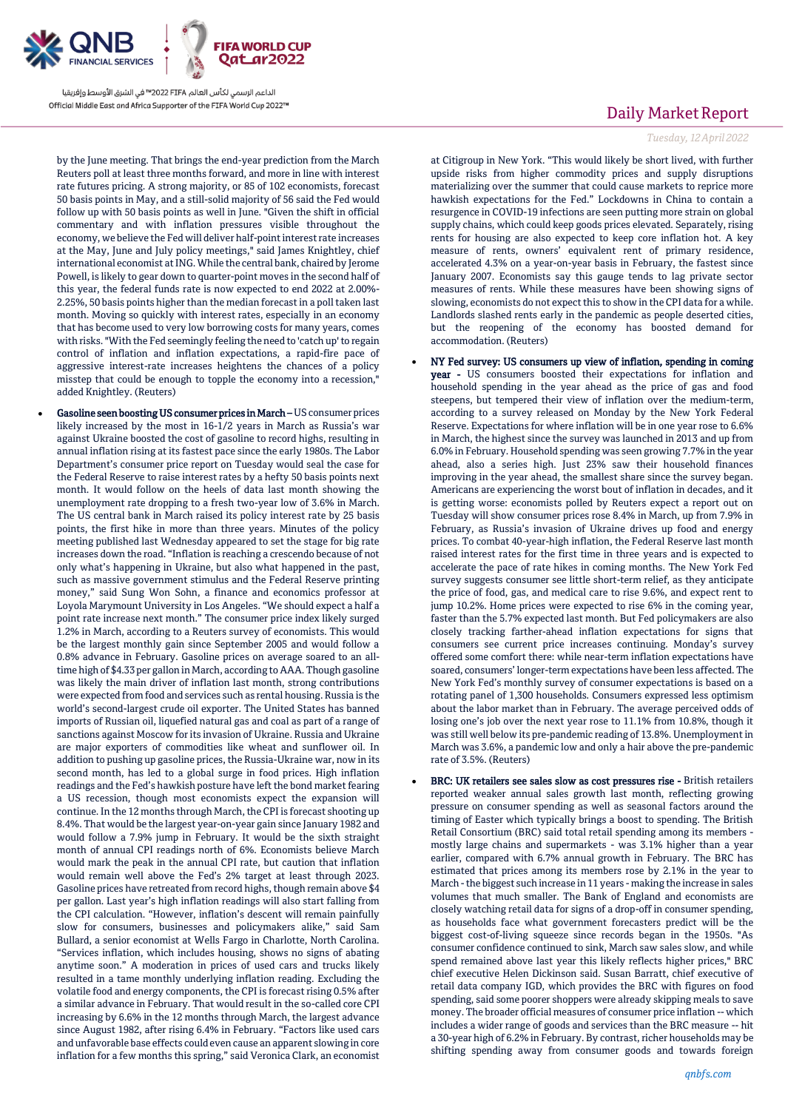

by the June meeting. That brings the end-year prediction from the March Reuters poll at least three months forward, and more in line with interest rate futures pricing. A strong majority, or 85 of 102 economists, forecast 50 basis points in May, and a still-solid majority of 56 said the Fed would follow up with 50 basis points as well in June. "Given the shift in official commentary and with inflation pressures visible throughout the economy, we believe the Fed will deliver half-point interest rate increases at the May, June and July policy meetings," said James Knightley, chief international economist at ING. While the central bank, chaired by Jerome Powell, is likely to gear down to quarter-point moves in the second half of this year, the federal funds rate is now expected to end 2022 at 2.00%- 2.25%, 50 basis points higher than the median forecast in a poll taken last month. Moving so quickly with interest rates, especially in an economy that has become used to very low borrowing costs for many years, comes with risks. "With the Fed seemingly feeling the need to 'catch up' to regain control of inflation and inflation expectations, a rapid-fire pace of aggressive interest-rate increases heightens the chances of a policy misstep that could be enough to topple the economy into a recession," added Knightley. (Reuters)

 Gasoline seen boosting US consumer prices in March – US consumer prices likely increased by the most in 16-1/2 years in March as Russia's war against Ukraine boosted the cost of gasoline to record highs, resulting in annual inflation rising at its fastest pace since the early 1980s. The Labor Department's consumer price report on Tuesday would seal the case for the Federal Reserve to raise interest rates by a hefty 50 basis points next month. It would follow on the heels of data last month showing the unemployment rate dropping to a fresh two-year low of 3.6% in March. The US central bank in March raised its policy interest rate by 25 basis points, the first hike in more than three years. Minutes of the policy meeting published last Wednesday appeared to set the stage for big rate increases down the road. "Inflation is reaching a crescendo because of not only what's happening in Ukraine, but also what happened in the past, such as massive government stimulus and the Federal Reserve printing money," said Sung Won Sohn, a finance and economics professor at Loyola Marymount University in Los Angeles. "We should expect a half a point rate increase next month." The consumer price index likely surged 1.2% in March, according to a Reuters survey of economists. This would be the largest monthly gain since September 2005 and would follow a 0.8% advance in February. Gasoline prices on average soared to an alltime high of \$4.33 per gallon in March, according to AAA. Though gasoline was likely the main driver of inflation last month, strong contributions were expected from food and services such as rental housing. Russia is the world's second-largest crude oil exporter. The United States has banned imports of Russian oil, liquefied natural gas and coal as part of a range of sanctions against Moscow for its invasion of Ukraine. Russia and Ukraine are major exporters of commodities like wheat and sunflower oil. In addition to pushing up gasoline prices, the Russia-Ukraine war, now in its second month, has led to a global surge in food prices. High inflation readings and the Fed's hawkish posture have left the bond market fearing a US recession, though most economists expect the expansion will continue. In the 12 months through March, the CPI is forecast shooting up 8.4%. That would be the largest year-on-year gain since January 1982 and would follow a 7.9% jump in February. It would be the sixth straight month of annual CPI readings north of 6%. Economists believe March would mark the peak in the annual CPI rate, but caution that inflation would remain well above the Fed's 2% target at least through 2023. Gasoline prices have retreated from record highs, though remain above \$4 per gallon. Last year's high inflation readings will also start falling from the CPI calculation. "However, inflation's descent will remain painfully slow for consumers, businesses and policymakers alike," said Sam Bullard, a senior economist at Wells Fargo in Charlotte, North Carolina. "Services inflation, which includes housing, shows no signs of abating anytime soon." A moderation in prices of used cars and trucks likely resulted in a tame monthly underlying inflation reading. Excluding the volatile food and energy components, the CPI is forecast rising 0.5% after a similar advance in February. That would result in the so-called core CPI increasing by 6.6% in the 12 months through March, the largest advance since August 1982, after rising 6.4% in February. "Factors like used cars and unfavorable base effects could even cause an apparent slowing in core inflation for a few months this spring," said Veronica Clark, an economist

# Daily Market Report

#### *Tuesday, 12April2022*

at Citigroup in New York. "This would likely be short lived, with further upside risks from higher commodity prices and supply disruptions materializing over the summer that could cause markets to reprice more hawkish expectations for the Fed." Lockdowns in China to contain a resurgence in COVID-19 infections are seen putting more strain on global supply chains, which could keep goods prices elevated. Separately, rising rents for housing are also expected to keep core inflation hot. A key measure of rents, owners' equivalent rent of primary residence, accelerated 4.3% on a year-on-year basis in February, the fastest since January 2007. Economists say this gauge tends to lag private sector measures of rents. While these measures have been showing signs of slowing, economists do not expect this to show in the CPI data for a while. Landlords slashed rents early in the pandemic as people deserted cities, but the reopening of the economy has boosted demand for accommodation. (Reuters)

- NY Fed survey: US consumers up view of inflation, spending in coming year - US consumers boosted their expectations for inflation and household spending in the year ahead as the price of gas and food steepens, but tempered their view of inflation over the medium-term, according to a survey released on Monday by the New York Federal Reserve. Expectations for where inflation will be in one year rose to 6.6% in March, the highest since the survey was launched in 2013 and up from 6.0% in February. Household spending was seen growing 7.7% in the year ahead, also a series high. Just 23% saw their household finances improving in the year ahead, the smallest share since the survey began. Americans are experiencing the worst bout of inflation in decades, and it is getting worse: economists polled by Reuters expect a report out on Tuesday will show consumer prices rose 8.4% in March, up from 7.9% in February, as Russia's invasion of Ukraine drives up food and energy prices. To combat 40-year-high inflation, the Federal Reserve last month raised interest rates for the first time in three years and is expected to accelerate the pace of rate hikes in coming months. The New York Fed survey suggests consumer see little short-term relief, as they anticipate the price of food, gas, and medical care to rise 9.6%, and expect rent to jump 10.2%. Home prices were expected to rise 6% in the coming year, faster than the 5.7% expected last month. But Fed policymakers are also closely tracking farther-ahead inflation expectations for signs that consumers see current price increases continuing. Monday's survey offered some comfort there: while near-term inflation expectations have soared, consumers' longer-term expectations have been less affected. The New York Fed's monthly survey of consumer expectations is based on a rotating panel of 1,300 households. Consumers expressed less optimism about the labor market than in February. The average perceived odds of losing one's job over the next year rose to 11.1% from 10.8%, though it was still well below its pre-pandemic reading of 13.8%. Unemployment in March was 3.6%, a pandemic low and only a hair above the pre-pandemic rate of 3.5%. (Reuters)
- BRC: UK retailers see sales slow as cost pressures rise British retailers reported weaker annual sales growth last month, reflecting growing pressure on consumer spending as well as seasonal factors around the timing of Easter which typically brings a boost to spending. The British Retail Consortium (BRC) said total retail spending among its members mostly large chains and supermarkets - was 3.1% higher than a year earlier, compared with 6.7% annual growth in February. The BRC has estimated that prices among its members rose by 2.1% in the year to March -the biggest such increase in 11 years - making the increase in sales volumes that much smaller. The Bank of England and economists are closely watching retail data for signs of a drop-off in consumer spending, as households face what government forecasters predict will be the biggest cost-of-living squeeze since records began in the 1950s. "As consumer confidence continued to sink, March saw sales slow, and while spend remained above last year this likely reflects higher prices," BRC chief executive Helen Dickinson said. Susan Barratt, chief executive of retail data company IGD, which provides the BRC with figures on food spending, said some poorer shoppers were already skipping meals to save money. The broader official measures of consumer price inflation -- which includes a wider range of goods and services than the BRC measure -- hit a 30-year high of 6.2% in February. By contrast, richer households may be shifting spending away from consumer goods and towards foreign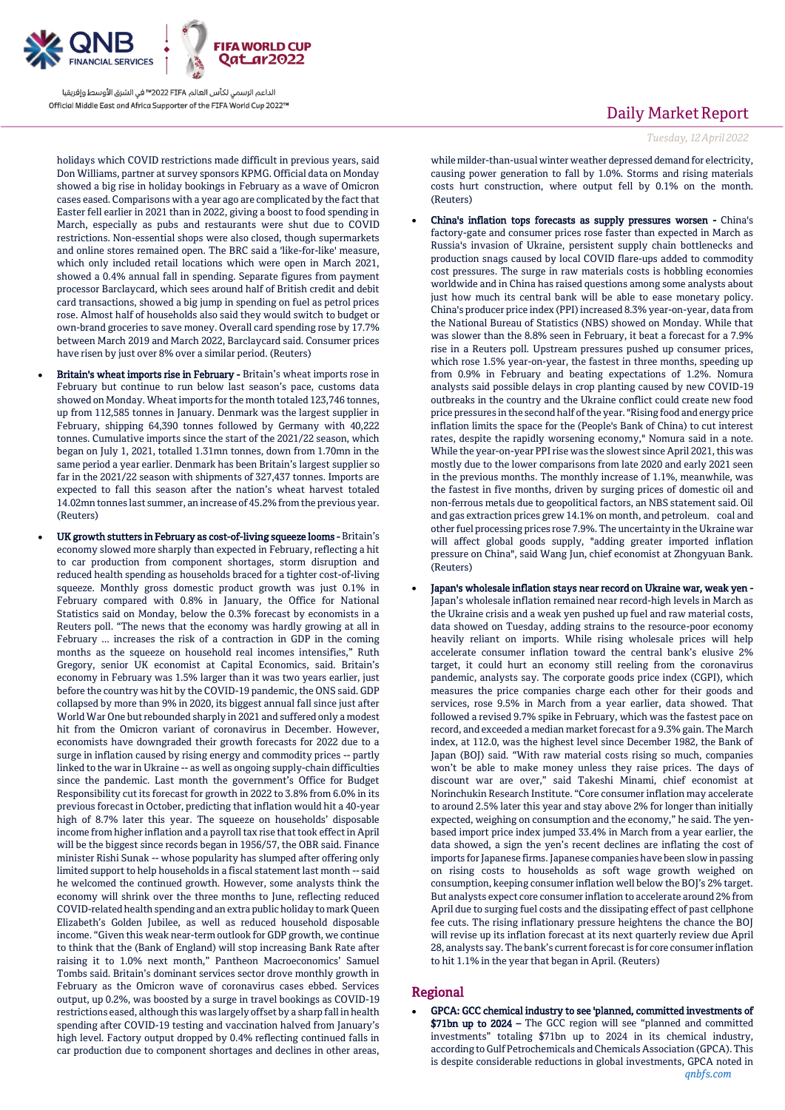

holidays which COVID restrictions made difficult in previous years, said Don Williams, partner at survey sponsors KPMG. Official data on Monday showed a big rise in holiday bookings in February as a wave of Omicron cases eased. Comparisons with a year ago are complicated by the fact that Easter fell earlier in 2021 than in 2022, giving a boost to food spending in March, especially as pubs and restaurants were shut due to COVID restrictions. Non-essential shops were also closed, though supermarkets and online stores remained open. The BRC said a 'like-for-like' measure, which only included retail locations which were open in March 2021, showed a 0.4% annual fall in spending. Separate figures from payment processor Barclaycard, which sees around half of British credit and debit card transactions, showed a big jump in spending on fuel as petrol prices rose. Almost half of households also said they would switch to budget or own-brand groceries to save money. Overall card spending rose by 17.7% between March 2019 and March 2022, Barclaycard said. Consumer prices have risen by just over 8% over a similar period. (Reuters)

- Britain's wheat imports rise in February Britain's wheat imports rose in February but continue to run below last season's pace, customs data showed on Monday. Wheat imports for the month totaled 123,746 tonnes, up from 112,585 tonnes in January. Denmark was the largest supplier in February, shipping 64,390 tonnes followed by Germany with 40,222 tonnes. Cumulative imports since the start of the 2021/22 season, which began on July 1, 2021, totalled 1.31mn tonnes, down from 1.70mn in the same period a year earlier. Denmark has been Britain's largest supplier so far in the 2021/22 season with shipments of 327,437 tonnes. Imports are expected to fall this season after the nation's wheat harvest totaled 14.02mn tonnes last summer, an increase of 45.2% from the previous year. (Reuters)
- UK growth stutters in February as cost-of-living squeeze looms Britain's economy slowed more sharply than expected in February, reflecting a hit to car production from component shortages, storm disruption and reduced health spending as households braced for a tighter cost-of-living squeeze. Monthly gross domestic product growth was just 0.1% in February compared with 0.8% in January, the Office for National Statistics said on Monday, below the 0.3% forecast by economists in a Reuters poll. "The news that the economy was hardly growing at all in February ... increases the risk of a contraction in GDP in the coming months as the squeeze on household real incomes intensifies," Ruth Gregory, senior UK economist at Capital Economics, said. Britain's economy in February was 1.5% larger than it was two years earlier, just before the country was hit by the COVID-19 pandemic, the ONS said. GDP collapsed by more than 9% in 2020, its biggest annual fall since just after World War One but rebounded sharply in 2021 and suffered only a modest hit from the Omicron variant of coronavirus in December. However, economists have downgraded their growth forecasts for 2022 due to a surge in inflation caused by rising energy and commodity prices -- partly linked to the war in Ukraine -- as well as ongoing supply-chain difficulties since the pandemic. Last month the government's Office for Budget Responsibility cut its forecast for growth in 2022 to 3.8% from 6.0% in its previous forecast in October, predicting that inflation would hit a 40-year high of 8.7% later this year. The squeeze on households' disposable income from higher inflation and a payroll tax rise that took effect in April will be the biggest since records began in 1956/57, the OBR said. Finance minister Rishi Sunak -- whose popularity has slumped after offering only limited support to help households in a fiscal statement last month -- said he welcomed the continued growth. However, some analysts think the economy will shrink over the three months to June, reflecting reduced COVID-related health spending and an extra public holiday to mark Queen Elizabeth's Golden Jubilee, as well as reduced household disposable income. "Given this weak near-term outlook for GDP growth, we continue to think that the (Bank of England) will stop increasing Bank Rate after raising it to 1.0% next month," Pantheon Macroeconomics' Samuel Tombs said. Britain's dominant services sector drove monthly growth in February as the Omicron wave of coronavirus cases ebbed. Services output, up 0.2%, was boosted by a surge in travel bookings as COVID-19 restrictions eased, although this was largely offset by a sharp fall in health spending after COVID-19 testing and vaccination halved from January's high level. Factory output dropped by 0.4% reflecting continued falls in car production due to component shortages and declines in other areas,

### Daily Market Report

*Tuesday, 12April2022*

while milder-than-usual winter weather depressed demand for electricity, causing power generation to fall by 1.0%. Storms and rising materials costs hurt construction, where output fell by 0.1% on the month. (Reuters)

- China's inflation tops forecasts as supply pressures worsen China's factory-gate and consumer prices rose faster than expected in March as Russia's invasion of Ukraine, persistent supply chain bottlenecks and production snags caused by local COVID flare-ups added to commodity cost pressures. The surge in raw materials costs is hobbling economies worldwide and in China has raised questions among some analysts about just how much its central bank will be able to ease monetary policy. China's producer price index (PPI) increased 8.3% year-on-year, data from the National Bureau of Statistics (NBS) showed on Monday. While that was slower than the 8.8% seen in February, it beat a forecast for a 7.9% rise in a Reuters poll. Upstream pressures pushed up consumer prices, which rose 1.5% year-on-year, the fastest in three months, speeding up from 0.9% in February and beating expectations of 1.2%. Nomura analysts said possible delays in crop planting caused by new COVID-19 outbreaks in the country and the Ukraine conflict could create new food price pressures in the second half of the year. "Rising food and energy price inflation limits the space for the (People's Bank of China) to cut interest rates, despite the rapidly worsening economy," Nomura said in a note. While the year-on-year PPI rise was the slowest since April 2021, this was mostly due to the lower comparisons from late 2020 and early 2021 seen in the previous months. The monthly increase of 1.1%, meanwhile, was the fastest in five months, driven by surging prices of domestic oil and non-ferrous metals due to geopolitical factors, an NBS statement said. Oil and gas extraction prices grew  $14.1\%$  on month, and petroleum, coal and other fuel processing prices rose 7.9%. The uncertainty in the Ukraine war will affect global goods supply, "adding greater imported inflation pressure on China", said Wang Jun, chief economist at Zhongyuan Bank. (Reuters)
- Japan's wholesale inflation stays near record on Ukraine war, weak yen Japan's wholesale inflation remained near record-high levels in March as the Ukraine crisis and a weak yen pushed up fuel and raw material costs, data showed on Tuesday, adding strains to the resource-poor economy heavily reliant on imports. While rising wholesale prices will help accelerate consumer inflation toward the central bank's elusive 2% target, it could hurt an economy still reeling from the coronavirus pandemic, analysts say. The corporate goods price index (CGPI), which measures the price companies charge each other for their goods and services, rose 9.5% in March from a year earlier, data showed. That followed a revised 9.7% spike in February, which was the fastest pace on record, and exceeded a median market forecast for a 9.3% gain. The March index, at 112.0, was the highest level since December 1982, the Bank of Japan (BOJ) said. "With raw material costs rising so much, companies won't be able to make money unless they raise prices. The days of discount war are over," said Takeshi Minami, chief economist at Norinchukin Research Institute. "Core consumer inflation may accelerate to around 2.5% later this year and stay above 2% for longer than initially expected, weighing on consumption and the economy," he said. The yenbased import price index jumped 33.4% in March from a year earlier, the data showed, a sign the yen's recent declines are inflating the cost of imports for Japanese firms. Japanese companies have been slow in passing on rising costs to households as soft wage growth weighed on consumption, keeping consumer inflation well below the BOJ's 2% target. But analysts expect core consumer inflation to accelerate around 2% from April due to surging fuel costs and the dissipating effect of past cellphone fee cuts. The rising inflationary pressure heightens the chance the BOJ will revise up its inflation forecast at its next quarterly review due April 28, analysts say. The bank's current forecast is for core consumer inflation to hit 1.1% in the year that began in April. (Reuters)

### Regional

*qnbfs.com* GPCA: GCC chemical industry to see 'planned, committed investments of \$71bn up to 2024 – The GCC region will see "planned and committed investments" totaling \$71bn up to 2024 in its chemical industry, according to Gulf Petrochemicals and Chemicals Association (GPCA). This is despite considerable reductions in global investments, GPCA noted in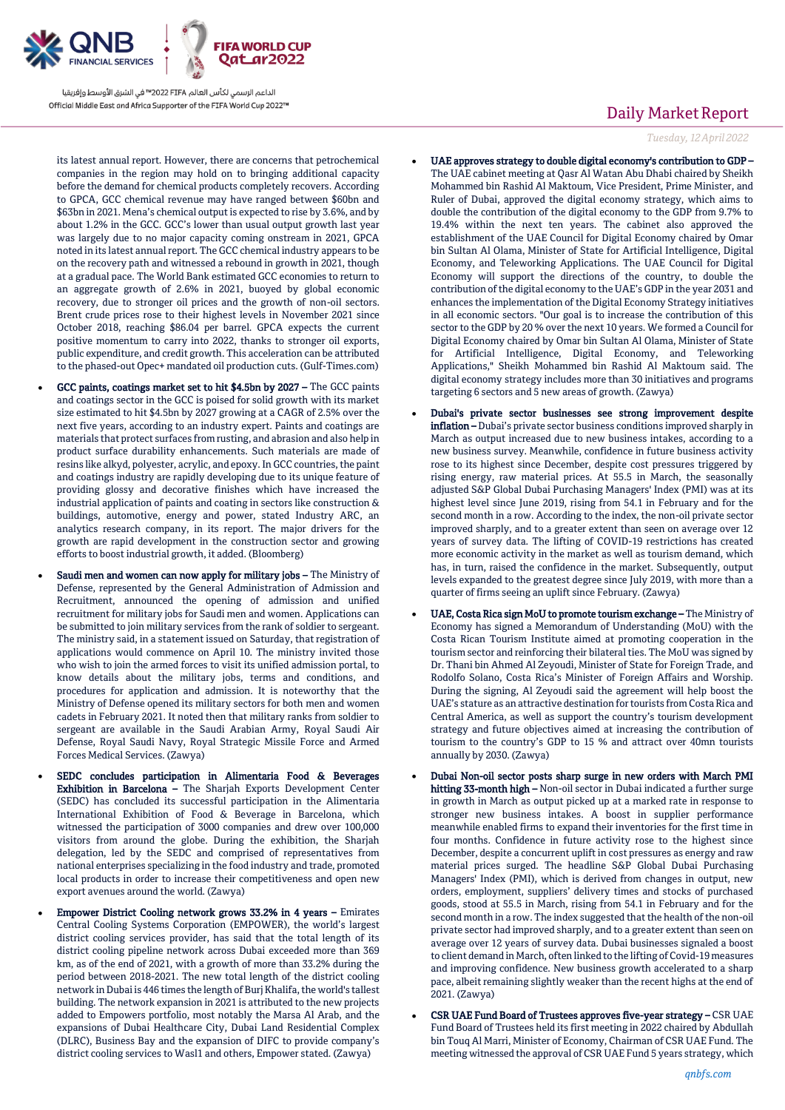

its latest annual report. However, there are concerns that petrochemical companies in the region may hold on to bringing additional capacity before the demand for chemical products completely recovers. According to GPCA, GCC chemical revenue may have ranged between \$60bn and \$63bn in 2021. Mena's chemical output is expected to rise by 3.6%, and by about 1.2% in the GCC. GCC's lower than usual output growth last year was largely due to no major capacity coming onstream in 2021, GPCA noted in its latest annual report. The GCC chemical industry appears to be on the recovery path and witnessed a rebound in growth in 2021, though at a gradual pace. The World Bank estimated GCC economies to return to an aggregate growth of 2.6% in 2021, buoyed by global economic recovery, due to stronger oil prices and the growth of non-oil sectors. Brent crude prices rose to their highest levels in November 2021 since October 2018, reaching \$86.04 per barrel. GPCA expects the current positive momentum to carry into 2022, thanks to stronger oil exports, public expenditure, and credit growth. This acceleration can be attributed to the phased-out Opec+ mandated oil production cuts. (Gulf-Times.com)

- GCC paints, coatings market set to hit \$4.5bn by 2027 The GCC paints and coatings sector in the GCC is poised for solid growth with its market size estimated to hit \$4.5bn by 2027 growing at a CAGR of 2.5% over the next five years, according to an industry expert. Paints and coatings are materials that protect surfaces from rusting, and abrasion and also help in product surface durability enhancements. Such materials are made of resins like alkyd, polyester, acrylic, and epoxy. In GCC countries, the paint and coatings industry are rapidly developing due to its unique feature of providing glossy and decorative finishes which have increased the industrial application of paints and coating in sectors like construction & buildings, automotive, energy and power, stated Industry ARC, an analytics research company, in its report. The major drivers for the growth are rapid development in the construction sector and growing efforts to boost industrial growth, it added. (Bloomberg)
- Saudi men and women can now apply for military jobs The Ministry of Defense, represented by the General Administration of Admission and Recruitment, announced the opening of admission and unified recruitment for military jobs for Saudi men and women. Applications can be submitted to join military services from the rank of soldier to sergeant. The ministry said, in a statement issued on Saturday, that registration of applications would commence on April 10. The ministry invited those who wish to join the armed forces to visit its unified admission portal, to know details about the military jobs, terms and conditions, and procedures for application and admission. It is noteworthy that the Ministry of Defense opened its military sectors for both men and women cadets in February 2021. It noted then that military ranks from soldier to sergeant are available in the Saudi Arabian Army, Royal Saudi Air Defense, Royal Saudi Navy, Royal Strategic Missile Force and Armed Forces Medical Services. (Zawya)
- SEDC concludes participation in Alimentaria Food & Beverages Exhibition in Barcelona – The Sharjah Exports Development Center (SEDC) has concluded its successful participation in the Alimentaria International Exhibition of Food & Beverage in Barcelona, which witnessed the participation of 3000 companies and drew over 100,000 visitors from around the globe. During the exhibition, the Sharjah delegation, led by the SEDC and comprised of representatives from national enterprises specializing in the food industry and trade, promoted local products in order to increase their competitiveness and open new export avenues around the world. (Zawya)
- Empower District Cooling network grows 33.2% in 4 years Emirates Central Cooling Systems Corporation (EMPOWER), the world's largest district cooling services provider, has said that the total length of its district cooling pipeline network across Dubai exceeded more than 369 km, as of the end of 2021, with a growth of more than 33.2% during the period between 2018-2021. The new total length of the district cooling network in Dubai is 446 times the length of Burj Khalifa, the world's tallest building. The network expansion in 2021 is attributed to the new projects added to Empowers portfolio, most notably the Marsa Al Arab, and the expansions of Dubai Healthcare City, Dubai Land Residential Complex (DLRC), Business Bay and the expansion of DIFC to provide company's district cooling services to Wasl1 and others, Empower stated. (Zawya)

# Daily Market Report

*Tuesday, 12April2022*

- UAE approves strategy to double digital economy's contribution to GDP The UAE cabinet meeting at Qasr Al Watan Abu Dhabi chaired by Sheikh Mohammed bin Rashid Al Maktoum, Vice President, Prime Minister, and Ruler of Dubai, approved the digital economy strategy, which aims to double the contribution of the digital economy to the GDP from 9.7% to 19.4% within the next ten years. The cabinet also approved the establishment of the UAE Council for Digital Economy chaired by Omar bin Sultan Al Olama, Minister of State for Artificial Intelligence, Digital Economy, and Teleworking Applications. The UAE Council for Digital Economy will support the directions of the country, to double the contribution of the digital economy to the UAE's GDP in the year 2031 and enhances the implementation of the Digital Economy Strategy initiatives in all economic sectors. "Our goal is to increase the contribution of this sector to the GDP by 20 % over the next 10 years. We formed a Council for Digital Economy chaired by Omar bin Sultan Al Olama, Minister of State for Artificial Intelligence, Digital Economy, and Teleworking Applications," Sheikh Mohammed bin Rashid Al Maktoum said. The digital economy strategy includes more than 30 initiatives and programs targeting 6 sectors and 5 new areas of growth. (Zawya)
- Dubai's private sector businesses see strong improvement despite inflation – Dubai's private sector business conditions improved sharply in March as output increased due to new business intakes, according to a new business survey. Meanwhile, confidence in future business activity rose to its highest since December, despite cost pressures triggered by rising energy, raw material prices. At 55.5 in March, the seasonally adjusted S&P Global Dubai Purchasing Managers' Index (PMI) was at its highest level since June 2019, rising from 54.1 in February and for the second month in a row. According to the index, the non-oil private sector improved sharply, and to a greater extent than seen on average over 12 years of survey data. The lifting of COVID-19 restrictions has created more economic activity in the market as well as tourism demand, which has, in turn, raised the confidence in the market. Subsequently, output levels expanded to the greatest degree since July 2019, with more than a quarter of firms seeing an uplift since February. (Zawya)
- UAE, Costa Rica sign MoU to promote tourism exchange The Ministry of Economy has signed a Memorandum of Understanding (MoU) with the Costa Rican Tourism Institute aimed at promoting cooperation in the tourism sector and reinforcing their bilateral ties. The MoU was signed by Dr. Thani bin Ahmed Al Zeyoudi, Minister of State for Foreign Trade, and Rodolfo Solano, Costa Rica's Minister of Foreign Affairs and Worship. During the signing, Al Zeyoudi said the agreement will help boost the UAE's stature as an attractive destination for tourists from Costa Rica and Central America, as well as support the country's tourism development strategy and future objectives aimed at increasing the contribution of tourism to the country's GDP to 15 % and attract over 40mn tourists annually by 2030. (Zawya)
- Dubai Non-oil sector posts sharp surge in new orders with March PMI hitting 33-month high – Non-oil sector in Dubai indicated a further surge in growth in March as output picked up at a marked rate in response to stronger new business intakes. A boost in supplier performance meanwhile enabled firms to expand their inventories for the first time in four months. Confidence in future activity rose to the highest since December, despite a concurrent uplift in cost pressures as energy and raw material prices surged. The headline S&P Global Dubai Purchasing Managers' Index (PMI), which is derived from changes in output, new orders, employment, suppliers' delivery times and stocks of purchased goods, stood at 55.5 in March, rising from 54.1 in February and for the second month in a row. The index suggested that the health of the non-oil private sector had improved sharply, and to a greater extent than seen on average over 12 years of survey data. Dubai businesses signaled a boost to client demand in March, often linked to the lifting of Covid-19 measures and improving confidence. New business growth accelerated to a sharp pace, albeit remaining slightly weaker than the recent highs at the end of 2021. (Zawya)
- CSR UAE Fund Board of Trustees approves five-year strategy CSR UAE Fund Board of Trustees held its first meeting in 2022 chaired by Abdullah bin Touq Al Marri, Minister of Economy, Chairman of CSR UAE Fund. The meeting witnessed the approval of CSR UAE Fund 5 years strategy, which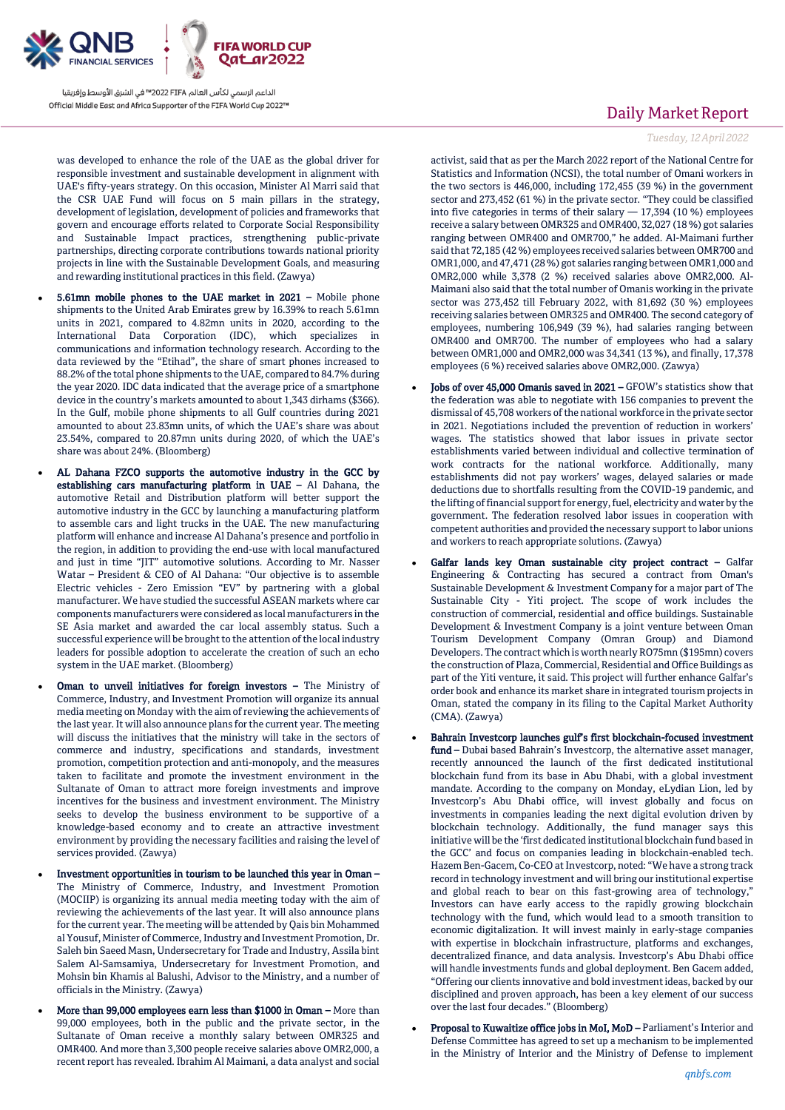

was developed to enhance the role of the UAE as the global driver for responsible investment and sustainable development in alignment with UAE's fifty-years strategy. On this occasion, Minister Al Marri said that the CSR UAE Fund will focus on 5 main pillars in the strategy, development of legislation, development of policies and frameworks that govern and encourage efforts related to Corporate Social Responsibility and Sustainable Impact practices, strengthening public-private partnerships, directing corporate contributions towards national priority projects in line with the Sustainable Development Goals, and measuring and rewarding institutional practices in this field. (Zawya)

- 5.61mn mobile phones to the UAE market in 2021 Mobile phone shipments to the United Arab Emirates grew by 16.39% to reach 5.61mn units in 2021, compared to 4.82mn units in 2020, according to the International Data Corporation (IDC), which specializes in communications and information technology research. According to the data reviewed by the "Etihad", the share of smart phones increased to 88.2% of the total phone shipments to the UAE, compared to 84.7% during the year 2020. IDC data indicated that the average price of a smartphone device in the country's markets amounted to about 1,343 dirhams (\$366). In the Gulf, mobile phone shipments to all Gulf countries during 2021 amounted to about 23.83mn units, of which the UAE's share was about 23.54%, compared to 20.87mn units during 2020, of which the UAE's share was about 24%. (Bloomberg)
- AL Dahana FZCO supports the automotive industry in the GCC by establishing cars manufacturing platform in UAE – Al Dahana, the automotive Retail and Distribution platform will better support the automotive industry in the GCC by launching a manufacturing platform to assemble cars and light trucks in the UAE. The new manufacturing platform will enhance and increase Al Dahana's presence and portfolio in the region, in addition to providing the end-use with local manufactured and just in time "JIT" automotive solutions. According to Mr. Nasser Watar – President & CEO of Al Dahana: "Our objective is to assemble Electric vehicles - Zero Emission "EV" by partnering with a global manufacturer. We have studied the successful ASEAN markets where car components manufacturers were considered as local manufacturers in the SE Asia market and awarded the car local assembly status. Such a successful experience will be brought to the attention of the local industry leaders for possible adoption to accelerate the creation of such an echo system in the UAE market. (Bloomberg)
- Oman to unveil initiatives for foreign investors The Ministry of Commerce, Industry, and Investment Promotion will organize its annual media meeting on Monday with the aim of reviewing the achievements of the last year. It will also announce plans for the current year. The meeting will discuss the initiatives that the ministry will take in the sectors of commerce and industry, specifications and standards, investment promotion, competition protection and anti-monopoly, and the measures taken to facilitate and promote the investment environment in the Sultanate of Oman to attract more foreign investments and improve incentives for the business and investment environment. The Ministry seeks to develop the business environment to be supportive of a knowledge-based economy and to create an attractive investment environment by providing the necessary facilities and raising the level of services provided. (Zawya)
- Investment opportunities in tourism to be launched this year in Oman The Ministry of Commerce, Industry, and Investment Promotion (MOCIIP) is organizing its annual media meeting today with the aim of reviewing the achievements of the last year. It will also announce plans for the current year. The meeting will be attended by Qais bin Mohammed al Yousuf, Minister of Commerce, Industry and Investment Promotion, Dr. Saleh bin Saeed Masn, Undersecretary for Trade and Industry, Assila bint Salem Al-Samsamiya, Undersecretary for Investment Promotion, and Mohsin bin Khamis al Balushi, Advisor to the Ministry, and a number of officials in the Ministry. (Zawya)
- More than 99,000 employees earn less than \$1000 in Oman More than 99,000 employees, both in the public and the private sector, in the Sultanate of Oman receive a monthly salary between OMR325 and OMR400. And more than 3,300 people receive salaries above OMR2,000, a recent report has revealed. Ibrahim Al Maimani, a data analyst and social

# Daily Market Report

*Tuesday, 12April2022*

activist, said that as per the March 2022 report of the National Centre for Statistics and Information (NCSI), the total number of Omani workers in the two sectors is 446,000, including 172,455 (39 %) in the government sector and 273,452 (61 %) in the private sector. "They could be classified into five categories in terms of their salary  $-17,394$  (10 %) employees receive a salary between OMR325 and OMR400, 32,027 (18 %) got salaries ranging between OMR400 and OMR700," he added. Al-Maimani further said that 72,185 (42 %) employees received salaries between OMR700 and OMR1,000, and 47,471 (28 %) got salaries ranging between OMR1,000 and OMR2,000 while 3,378 (2 %) received salaries above OMR2,000. Al-Maimani also said that the total number of Omanis working in the private sector was 273,452 till February 2022, with 81,692 (30 %) employees receiving salaries between OMR325 and OMR400. The second category of employees, numbering 106,949 (39 %), had salaries ranging between OMR400 and OMR700. The number of employees who had a salary between OMR1,000 and OMR2,000 was 34,341 (13 %), and finally, 17,378 employees (6 %) received salaries above OMR2,000. (Zawya)

- Jobs of over 45,000 Omanis saved in 2021 GFOW's statistics show that the federation was able to negotiate with 156 companies to prevent the dismissal of 45,708 workers of the national workforce in the private sector in 2021. Negotiations included the prevention of reduction in workers' wages. The statistics showed that labor issues in private sector establishments varied between individual and collective termination of work contracts for the national workforce. Additionally, many establishments did not pay workers' wages, delayed salaries or made deductions due to shortfalls resulting from the COVID-19 pandemic, and the lifting of financial support for energy, fuel, electricity and water by the government. The federation resolved labor issues in cooperation with competent authorities and provided the necessary support to labor unions and workers to reach appropriate solutions. (Zawya)
- Galfar lands key Oman sustainable city project contract Galfar Engineering & Contracting has secured a contract from Oman's Sustainable Development & Investment Company for a major part of The Sustainable City - Yiti project. The scope of work includes the construction of commercial, residential and office buildings. Sustainable Development & Investment Company is a joint venture between Oman Tourism Development Company (Omran Group) and Diamond Developers. The contract which is worth nearly RO75mn (\$195mn) covers the construction of Plaza, Commercial, Residential and Office Buildings as part of the Yiti venture, it said. This project will further enhance Galfar's order book and enhance its market share in integrated tourism projects in Oman, stated the company in its filing to the Capital Market Authority (CMA). (Zawya)
- Bahrain Investcorp launches gulf's first blockchain-focused investment fund - Dubai based Bahrain's Investcorp, the alternative asset manager, recently announced the launch of the first dedicated institutional blockchain fund from its base in Abu Dhabi, with a global investment mandate. According to the company on Monday, eLydian Lion, led by Investcorp's Abu Dhabi office, will invest globally and focus on investments in companies leading the next digital evolution driven by blockchain technology. Additionally, the fund manager says this initiative will be the 'first dedicated institutional blockchain fund based in the GCC' and focus on companies leading in blockchain-enabled tech. Hazem Ben-Gacem, Co-CEO at Investcorp, noted: "We have a strong track record in technology investment and will bring our institutional expertise and global reach to bear on this fast-growing area of technology," Investors can have early access to the rapidly growing blockchain technology with the fund, which would lead to a smooth transition to economic digitalization. It will invest mainly in early-stage companies with expertise in blockchain infrastructure, platforms and exchanges, decentralized finance, and data analysis. Investcorp's Abu Dhabi office will handle investments funds and global deployment. Ben Gacem added, "Offering our clients innovative and bold investment ideas, backed by our disciplined and proven approach, has been a key element of our success over the last four decades." (Bloomberg)
- Proposal to Kuwaitize office jobs in MoI, MoD Parliament's Interior and Defense Committee has agreed to set up a mechanism to be implemented in the Ministry of Interior and the Ministry of Defense to implement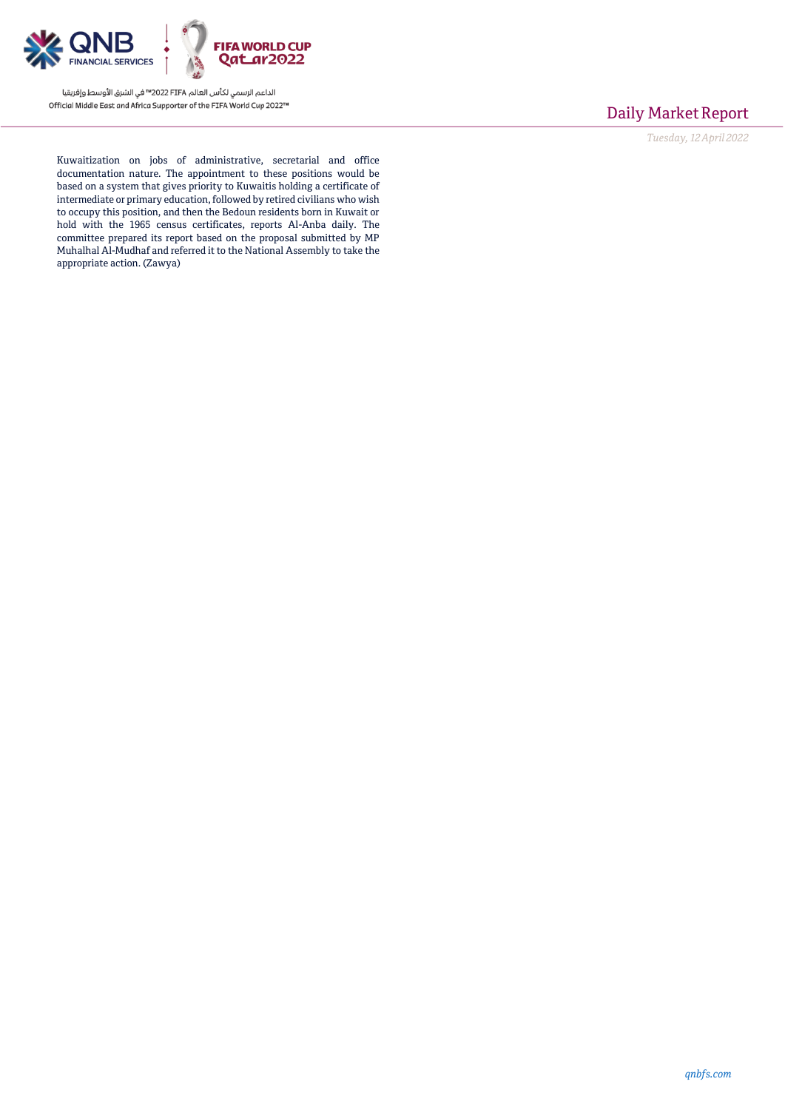

# Daily Market Report

*Tuesday, 12April2022*

Kuwaitization on jobs of administrative, secretarial and office documentation nature. The appointment to these positions would be based on a system that gives priority to Kuwaitis holding a certificate of intermediate or primary education, followed by retired civilians who wish to occupy this position, and then the Bedoun residents born in Kuwait or hold with the 1965 census certificates, reports Al-Anba daily. The committee prepared its report based on the proposal submitted by MP Muhalhal Al-Mudhaf and referred it to the National Assembly to take the appropriate action. (Zawya)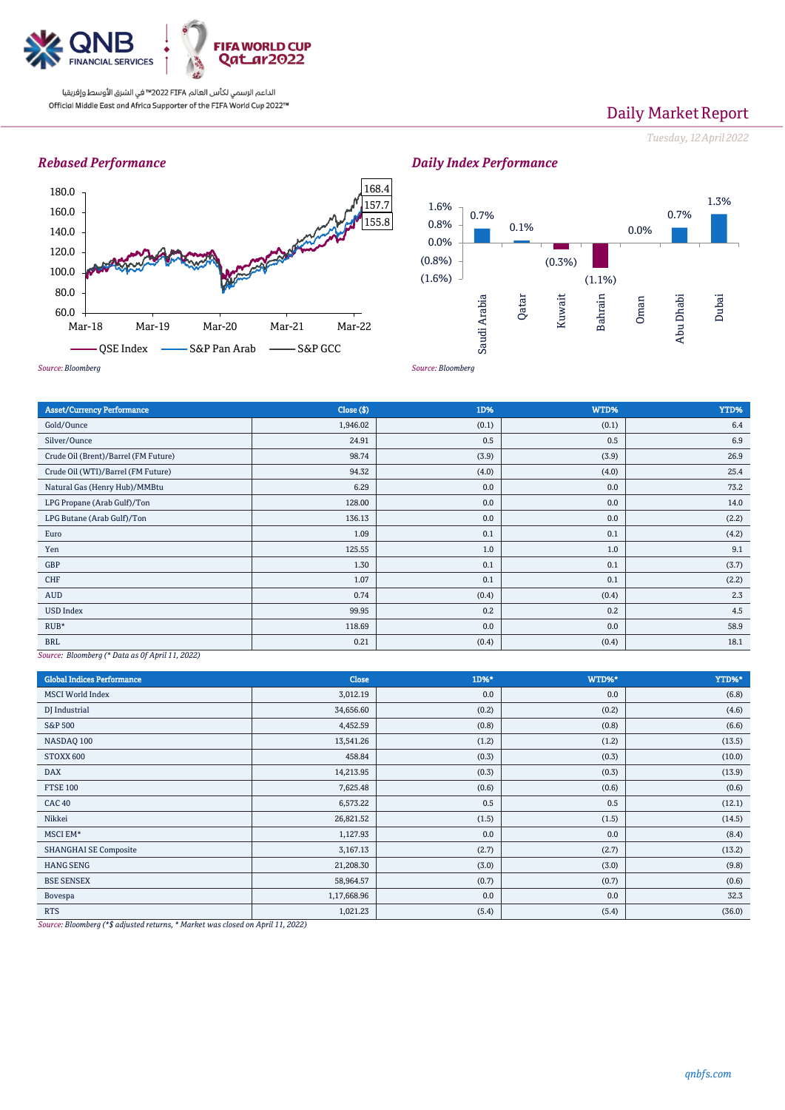

# Daily Market Report

*Tuesday, 12April2022*

### *Rebased Performance*





*Daily Index Performance*

### Asset/Currency Performance Close (\$) 1D% WTD% YTD% Gold/Ounce  $1,946.02$   $(0.1)$   $(0.1)$   $(0.1)$   $(0.1)$   $(0.1)$   $(0.1)$ Silver/Ounce  $\begin{array}{|c|c|c|c|c|c|}\hline \text{S1} & \text{S2} & \text{S2} & \text{S3} & \text{S3} & \text{S4} & \text{S5} & \text{S55} & \text{S69} & \text{S75} & \text{S87} & \text{S88} & \text{S97} & \text{S18} & \text{S19} & \text{S20} & \text{S36} & \text{S18} & \text{S20} & \text{S20} & \text{S36} & \text{S36} & \text{S47} & \text{S57} & \$ Crude Oil (Brent)/Barrel (FM Future) 98.74 (3.9) (3.9) (3.9) (3.9) (3.9) (3.9) 26.9 Crude Oil (WTI)/Barrel (FM Future) 94.32 (4.0) (4.0) 25.4 Natural Gas (Henry Hub)/MMBtu 23.2 0.0 23.2 0.0 0.0 73.2 LPG Propane (Arab Gulf)/Ton 128.00 0.0 0.0 14.0 LPG Butane (Arab Gulf)/Ton (2.2) 0.0 0.0 0.0 (2.2) 0.0 0.0 0.0 (2.2) Euro  $1.09$   $0.1$   $0.1$   $0.1$   $0.1$   $0.1$   $0.1$   $0.1$   $0.1$   $0.1$   $0.1$   $0.1$   $0.1$ Yen 125.55 2012 125.55 2012 125.55 2012 12.0 2012 12.0 2012 12.0 2012 12.0 2012 12.0 2012 12.0 2012 12.0 2012 GBP  $1.30$   $0.1$   $0.1$   $0.1$   $0.1$   $0.1$   $0.1$   $0.37$ CHF  $0.1$   $0.1$   $0.1$   $0.1$   $0.1$   $0.1$   $0.1$   $0.1$   $0.2$ AUD  $0.74$   $0.74$   $0.04$   $0.4$   $0.4$   $0.4$   $0.4$   $0.4$   $0.4$   $0.5$ USD Index  $0.2$  |  $0.3$   $0.3$   $0.2$   $0.2$   $0.2$   $0.3$   $0.2$   $0.4.5$ RUB\*  $118.69$   $0.0$   $0.0$   $0.0$   $58.9$ BRL  $(0.4)$   $(0.4)$   $(0.4)$   $(0.4)$   $(0.4)$   $(0.4)$   $(0.4)$   $(0.4)$

*Source: Bloomberg (\* Data as 0f April 11, 2022)*

| <b>Global Indices Performance</b>                                                                                                                                                                                                                                          | <b>Close</b>  | 1D%*  | WTD%* | YTD%*  |
|----------------------------------------------------------------------------------------------------------------------------------------------------------------------------------------------------------------------------------------------------------------------------|---------------|-------|-------|--------|
| <b>MSCI</b> World Index                                                                                                                                                                                                                                                    | 3,012.19      | 0.0   | 0.0   | (6.8)  |
| DJ Industrial                                                                                                                                                                                                                                                              | 34,656.60     | (0.2) | (0.2) | (4.6)  |
| <b>S&amp;P 500</b>                                                                                                                                                                                                                                                         | 4,452.59      | (0.8) | (0.8) | (6.6)  |
| NASDAQ 100                                                                                                                                                                                                                                                                 | 13,541.26     | (1.2) | (1.2) | (13.5) |
| STOXX 600                                                                                                                                                                                                                                                                  | 458.84        | (0.3) | (0.3) | (10.0) |
| <b>DAX</b>                                                                                                                                                                                                                                                                 | 14,213.95     | (0.3) | (0.3) | (13.9) |
| <b>FTSE 100</b>                                                                                                                                                                                                                                                            | 7,625.48      | (0.6) | (0.6) | (0.6)  |
| <b>CAC 40</b>                                                                                                                                                                                                                                                              | 6,573.22      | 0.5   | 0.5   | (12.1) |
| Nikkei                                                                                                                                                                                                                                                                     | 26,821.52     | (1.5) | (1.5) | (14.5) |
| MSCI EM*                                                                                                                                                                                                                                                                   | 1,127.93      | 0.0   | 0.0   | (8.4)  |
| <b>SHANGHAI SE Composite</b>                                                                                                                                                                                                                                               | 3,167.13      | (2.7) | (2.7) | (13.2) |
| <b>HANG SENG</b>                                                                                                                                                                                                                                                           | 21,208.30     | (3.0) | (3.0) | (9.8)  |
| <b>BSE SENSEX</b>                                                                                                                                                                                                                                                          | 58,964.57     | (0.7) | (0.7) | (0.6)  |
| Bovespa                                                                                                                                                                                                                                                                    | 1,17,668.96   | 0.0   | 0.0   | 32.3   |
| <b>RTS</b><br>the company of the company of the company of the company of the company of the company of the company of the company of the company of the company of the company of the company of the company of the company of the company<br>and a state of the state of | 1,021.23<br>. | (5.4) | (5.4) | (36.0) |

*Source: Bloomberg (\*\$ adjusted returns, \* Market was closed on April 11, 2022)*